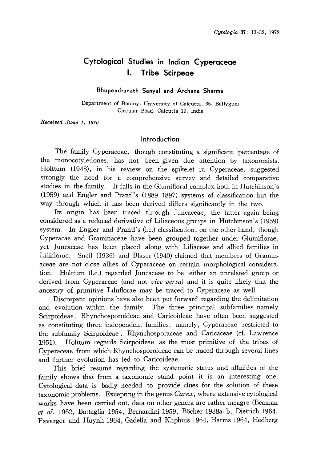# Cytological Studies in Indian Cyperaceae 1. Tribe Scirpeae

### Bhupendranath Sanyal and Archana Sharma

Department of Botany, University of Calcutta, 35, Ballygunj Circular Boad, Calcutta 19, India

Received June 1, 1970

### Introduction

The family Cyperaceae, though constituting a significant percentage of the monocotyledones, has not been given due attention by taxonomists. Holttum (1948), in his review on the spikelet in Cyperaceae, suggested strongly the need for a comprehensive survey and detailed comparative studies in the family. It falls in the Glumifloral complex both in Hutchinson's (1959) and Engler and Prantl's (1889-1897) systems of classification but the way through which it has been derived differs significantly in the two.

Its origin has been traced through Juncaceae, the latter again being considered as a reduced derivative of Liliaceous groups in Hutchinson's (1959) system. In Engler and Prantl's (l.c.) classification, on the other hand, though Cyperacae and Graminaceae have been grouped together under Glumiflorae, yet Juncaceae has been placed along with Liliaceae and allied families in Liliiflorae. Snell (1936) and Blaser (1940) claimed that members of Gramin aceae are not close allies of Cyperaceae on certain morphological considera tion. Holttum (l.c.) regarded Juncaceae to be either an unrelated group or derived from Cyperaceae (and not *vice versa*) and it is quite likely that the ancestry of primitive Liliiflorae may be traced to Cyperaceae as well.

Discrepant opinions have also been put forward regarding the delimitation and evolution within the family. The three principal subfamilies namely Scirpoideae, Rhynchosporoideae and Caricoideae have often been suggested as constituting three independent families, namely, Cyperaceae restricted to the subfamily Scirpoideae; Rhynchosporaceae and Caricaceae (cf. Lawrence 1951). Holttum regards Scirpoideae as the most primitive of the tribes of Cyperaceae from which Rhynchosporoideae can be traced through several lines and further evolution has led to Caricoideae.

This brief resume regarding the systematic status and affinities of the family shows that from a taxonomic stand point it is an interesting one. Cytological data is badly needed to provide clues for the solution of these taxonomic problems. Excepting in the genus  $Carex$ , where extensive cytological works have been carried out, data on other genera are rather meagre (Beaman et al. 1962, Battaglia 1954, Bernardini 1959, Böcher 1938a, b, Dietrich 1964, Favarger and Huynh 1964, Gadella and Kliphuis 1964, Harms 1964, Hedberg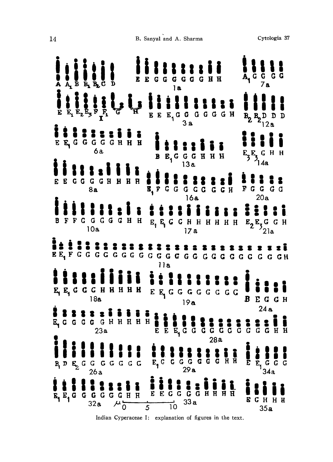| $\tilde{E}$ $\tilde{E}_1 \tilde{E}_2 \tilde{E}_3 \tilde{F}_1 \tilde{F}_1$<br>EEE <sub>1</sub> GGGGGGH<br>$B_2 B_2 D_1$<br>E E G G G G G H H H<br>6a<br>$E_3E_3GHH$<br>$E_1$ GGGHHH<br>B<br><b>E G G G G H H H</b><br><b>H</b><br>E<br>E, F G G G G G G G H<br>FGGGG<br>8a<br>20a<br>16a<br><b>AAAA</b><br>FFGGGGGH<br>$E_1$ $E_2$ $G$ $G$ $H$ $H$ $H$ $H$ $H$ $H$<br>$\mathbf{H}$<br>10a<br>17a<br>11a<br>i i !  <br><b><i><u>iiii</u></i></b><br>E E G G G H H H H H<br>$E E_1 G G G G G G G G G$<br>18a<br>В<br>19a<br>24a<br>E <sub>t</sub> C C C C G H H H H H<br><b>S R R G G G G G G G G G G H H</b><br>23a<br>28a<br>$E_1$ G G G<br>34a<br>$B_1 D E_2 G G G G G G G E_1 G G G G G G G G H H$<br>Ē<br>29a<br>26a<br><b>LECCGGHHH</b><br><b>i</b> i<br>I<br>$\mathbf{H}$ | $\bar{A}_1 \bar{B} \bar{B}_1 \bar{B}_2 \bar{C}$ | $\mathbf{D}$ | E E G G G G G G H H<br>1a | $A_1$ $G$ $G$<br>G G<br>7a       |
|-------------------------------------------------------------------------------------------------------------------------------------------------------------------------------------------------------------------------------------------------------------------------------------------------------------------------------------------------------------------------------------------------------------------------------------------------------------------------------------------------------------------------------------------------------------------------------------------------------------------------------------------------------------------------------------------------------------------------------------------------------------------------------|-------------------------------------------------|--------------|---------------------------|----------------------------------|
|                                                                                                                                                                                                                                                                                                                                                                                                                                                                                                                                                                                                                                                                                                                                                                               |                                                 |              |                           |                                  |
|                                                                                                                                                                                                                                                                                                                                                                                                                                                                                                                                                                                                                                                                                                                                                                               |                                                 |              |                           |                                  |
|                                                                                                                                                                                                                                                                                                                                                                                                                                                                                                                                                                                                                                                                                                                                                                               |                                                 |              |                           |                                  |
|                                                                                                                                                                                                                                                                                                                                                                                                                                                                                                                                                                                                                                                                                                                                                                               |                                                 |              |                           | $E_2E_3G$ $G$ $H$                |
|                                                                                                                                                                                                                                                                                                                                                                                                                                                                                                                                                                                                                                                                                                                                                                               |                                                 |              |                           |                                  |
|                                                                                                                                                                                                                                                                                                                                                                                                                                                                                                                                                                                                                                                                                                                                                                               |                                                 |              |                           | EGGH                             |
|                                                                                                                                                                                                                                                                                                                                                                                                                                                                                                                                                                                                                                                                                                                                                                               |                                                 |              |                           |                                  |
| 33a<br>$\overline{5}$                                                                                                                                                                                                                                                                                                                                                                                                                                                                                                                                                                                                                                                                                                                                                         | $\overline{E}_1 \overline{E}_1$ G               |              | $\overrightarrow{10}$     | G<br>E<br>$\mathbf{H}$<br>H<br>H |

Indian Cyperaceae I: explanation of figures in the text.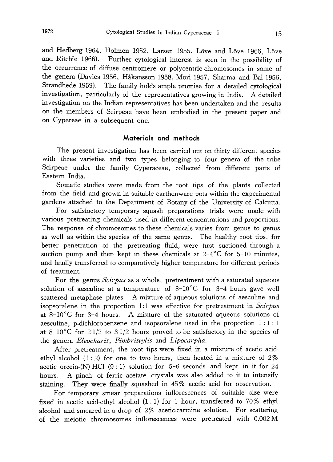and Hedberg 1964, Holmen 1952, Larsen 1955, Löve and Löve 1966, Löv and Ritchie 1966). Further cytological interest is seen in the possibility of the occurrence of diffuse centromere or polycentric chromosomes in some of the genera (Davies 1956, Hakansson 1958, Mori 1957, Sharma and Bal 1956, Strandhede 1959). The family holds ample promise for a detailed cytological investigation, particularly of the representatives growing in India. A detailed investigation on the Indian representatives has been undertaken and the results on the members of Scirpeae have been embodied in the present paper and on Cypereae in a subsequent one.

# Materials and methods

The present investigation has been carried out on thirty different species with three varieties and two types belonging to four genera of the tribe Scirpeae under the family Cyperaceae, collected from different parts of Eastern India.

Somatic studies were made from the root tips of the plants collected from the field and grown in suitable earthenware pots within the experimental gardens attached to the Department of Botany of the University of Calcutta.

For satisfactory temporary squash preparations trials were made with various pretreating chemicals used in different concentrations and proportions. The response of chromosomes to these chemicals varies from genus to genus as well as within the species of the same genus. The healthy root tips, for better penetration of the pretreating fluid, were first suctioned through a suction pump and then kept in these chemicals at  $2-4^{\circ}$ C for 5-10 minutes, and finally transferred to comparatively higher temperature for different periods of treatment.

For the genus *Scirpus* as a whole, pretreatment with a saturated aqueous solution of aesculine at a temperature of  $8\text{--}10\text{°C}$  for 3-4 hours gave well scattered metaphase plates. A mixture of aqueous solutions of aesculine and isopsoralene in the proportion 1:1 was effective for pretreatment in  $Scirpus$ at  $8-10\degree$ C for 3-4 hours. A mixture of the saturated aqueous solutions of aesculine, p-dichlorobenzene and isopsoralene used in the proportion 1: 1: 1 at  $8\text{--}10\text{°}$  for  $2\frac{1}{2}$  to  $3\frac{1}{2}$  hours proved to be satisfactory in the species of the genera Eleocharis, Fimbristylis and Lipocarpha.

After pretreatment, the root tips were fixed in a mixture of acetic acid ethyl alcohol  $(1:2)$  for one to two hours, then heated in a mixture of 2% acetic orcein-(N) HCl  $(9:1)$  solution for 5-6 seconds and kept in it for 24 hours. A pinch of ferric acetate crystals was also added to it to intensify staining. They were finally squashed in 45% acetic acid for observation.

For temporary smear preparations inflorescences of suitable size were fixed in acetic acid-ethyl alcohol  $(1:1)$  for 1 hour, transferred to 70% ethyl alcohol and smeared in a drop of 2% acetic-carmine solution. For scattering of the meiotic chromosomes inflorescences were pretreated with 0.002M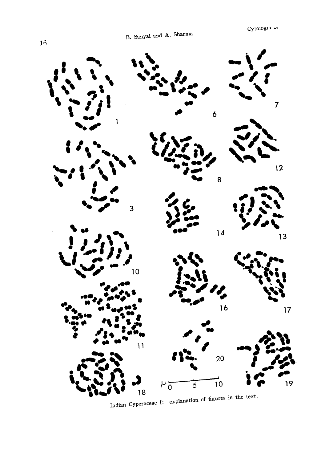

Indian Cyperaceae I: explanation of figures in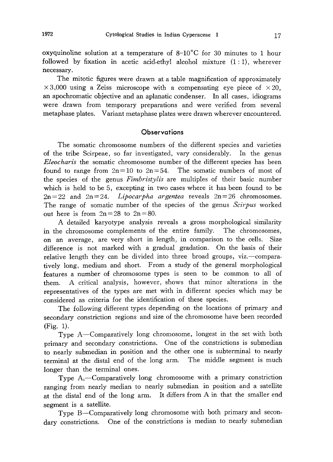oxyquinoline solution at a temperature of  $8\text{--}10\text{°C}$  for 30 minutes to 1 hour followed by fixation in acetic acid-ethyl alcohol mixture (1:1), wherever necessary.

The mitotic figures were drawn at a table magnification of approximately  $\times$  3,000 using a Zeiss microscope with a compensating eye piece of  $\times$  20, an apochromatic objective and an aplanatic condenser. In all cases, idiograms were drawn from temporary preparations and were verified from several metaphase plates. Variant metaphase plates were drawn wherever encountered.

### **Observations**

The somatic chromosome numbers of the different species and varieties of the tribe Scirpeae, so far investigated, vary considerably. In the genus Eleocharis the somatic chromosome number of the different species has been found to range from  $2n=10$  to  $2n=54$ . The somatic numbers of most of the species of the genus Fimbristylis are multiples of their basic number which is held to be 5, excepting in two cases where it has been found to be  $2n=22$  and  $2n=24$ . *Lipocarpha argentea* reveals  $2n=26$  chromosomes. The range of somatic number of the species of the genus Scirpus worked out here is from  $2n=28$  to  $2n=80$ .

A detailed karyotype analysis reveals a gross morphological similarity in the chromosome complements of the entire family. The chromosomes, on an average, are very short in length, in comparison to the cells. Size difference is not marked with a gradual gradation. On the basis of their relative length they can be divided into three broad groups, viz.—comparatively long, medium and short. From a study of the general morphological features a number of chromosome types is seen to be common to all of them. A critical analysis, however, shows that minor alterations in the representatives of the types are met with in different species which may be considered as criteria for the identification of these species.

The following different types depending on the locations of primary and secondary constriction regions and size of the chromosome have been recorded (Fig. 1).

Type A-Comparatively long chromosome, longest in the set with both primary and secondary constrictions. One of the constrictions is submedian to nearly submedian in position and the other one is subterminal to nearly terminal at the distal end of the long arm. The middle segment is much longer than the terminal ones.

Type  $A_1$ —Comparatively long chromosome with a primary constriction ranging from nearly median to nearly submedian in position and a satellite at the distal end of the long arm. It differs from A in that the smaller end segment is a satellite.

Type B-Comparatively long chromosome with both primary and secondary constrictions. One of the constrictions is median to nearly submedian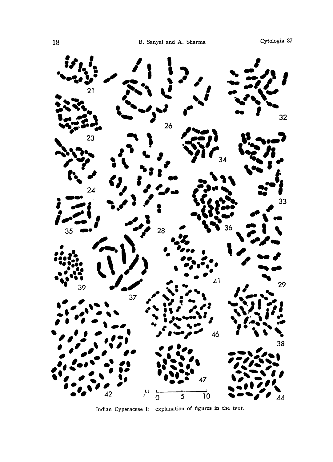

Indian Cyperaceae I: explanation of figures in the text.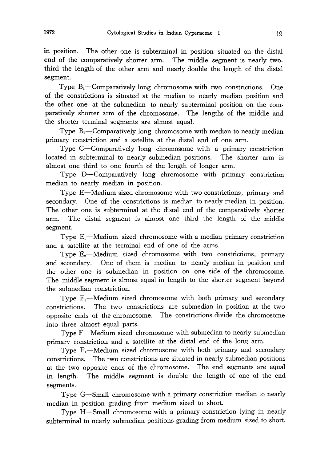in position. The other one is subterminal in position situated on the distal end of the comparatively shorter arm. The middle segment is nearly two third the length of the other arm and nearly double the length of the distal segment.

Type  $B_1$ —Comparatively long chromosome with two constrictions. One of the constrictions is situated at the median to nearly median position and the other one at the submedian to nearly subterminal position on the com paratively shorter arm of the chromosome. The lengths of the middle and the shorter terminal segments are almost equal.

Type  $B_2$ —Comparatively long chromosome with median to nearly median primary constriction and a satellite at the distal end of one arm.

Type C-Comparatively long chromosome with a primary constriction located in subterminal to nearly submedian positions. The shorter arm is almost one third to one fourth of the length of longer arm.

Type D-Comparatively long chromosome with primary constriction median to nearly median in position.

Type E-Medium sized chromosome with two constrictions, primary and secondary. One of the constrictions is median to nearly median in position. The other one is subterminal at the distal end of the comparatively shorter arm. The distal segment is almost one third the length of the middle segment.

Type  $E_1$ —Medium sized chromosome with a median primary constriction and a satellite at the terminal end of one of the arms.

Type  $E_2$ —Medium sized chromosome with two constrictions, primary and secondary. One of them is median to nearly median in position and the other one is submedian in position on one side of the chromosome. The middle segment is almost equal in length to the shorter segment beyond the submedian constriction.

Type  $E_3$ —Medium sized chromosome with both primary and secondary constrictions. The two constrictions are submedian in position at the two opposite ends of the chromosome. The constrictions divide the chromosome into three almost equal parts.

Type F-Medium sized chromosome with submedian to nearly submedian primary constriction and a satellite at the distal end of the long arm.

Type  $F_1$ —Medium sized chromosome with both primary and secondary constrictions. The two constrictions are situated in nearly submedian positions at the two opposite ends of the chromosome. The end segments are equal in length. The middle segment is double the length of one of the end segments.

Type G-Small chromosome with a primary constriction median to nearly median in position grading from medium sized to short.

Type H-Small chromosome with a primary constriction lying in nearly subterminal to nearly submedian positions grading from medium sized to short.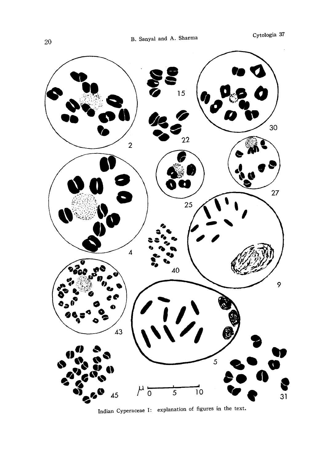

Indian Cyperaceae I: explanation of figures in the text.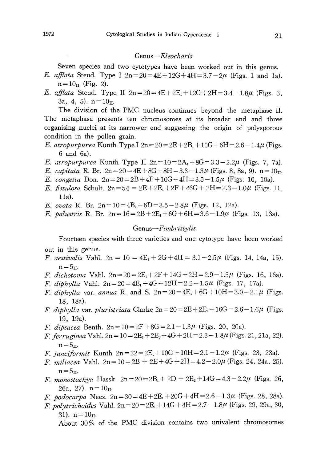### Genus-Eleocharis

Seven species and two cytotypes have been worked out in this genus.

- *E. afflata* Steud. Type I  $2n = 20 = 4E + 12G + 4H = 3.7 2\mu$  (Figs. 1 and 1a).  $n=10_{II}$  (Fig. 2).
- E. afflata Steud. Type II  $2n = 20 = 4E + 2E_1 + 12G + 2H = 3.4 1.8\mu$  (Figs. 3, 3a, 4, 5).  $n=10<sub>II</sub>$ .

The division of the PMC nucleus continues beyond the metaphase II. The metaphase presents ten chromosomes at its broader end and three organising nuclei at its narrower end suggesting the origin of polysporous condition in the pollen grain.

- *E. atropurpurea* Kunth Type I  $2n = 20 = 2E + 2B_1 + 10G + 6H = 2.6 1.4\mu$  (Figs. 6 and 6a).
- E. atropurpurea Kunth Type II  $2n=10=2A_1+8G=3.3-2.2\mu$  (Figs. 7, 7a).
- E. capitata R. Br.  $2n = 20 = 4E + 8G + 8H = 3.3 1.3\mu$  (Figs. 8, 8a, 9).  $n = 10<sub>II</sub>$ .
- E. congesta Don.  $2n = 20 = 2B + 4F + 10G + 4H = 3.5 1.5\mu$  (Figs. 10, 10a).
- E. fistulosa Schult.  $2n=54=2E+2E_1+2F+46G+2H=2.3-1.0\mu$  (Figs. 11, 11a).

E. ovata R. Br.  $2n = 10 = 4B_2 + 6D = 3.5 - 2.8\mu$  (Figs. 12, 12a).

E. palustris R. Br.  $2n = 16 = 2B + 2E_1 + 6G + 6H = 3.6 - 1.9\mu$  (Figs. 13, 13a).

# Genus-Fimbristylis

Fourteen species with three varieties and one cytotype have been worked out in this genus.

- *F. aestivalis* Vahl.  $2n = 10 = 4E<sub>3</sub> + 2G + 4H = 3.1 2.5\mu$  (Figs. 14, 14a, 15).  $n=5$ <sub>II</sub>.
- F. dichotoma Vahl.  $2n = 20 = 2E_1 + 2F + 14G + 2H = 2.9 1.5\mu$  (Figs. 16, 16a).
- F. diphylla Vahl.  $2n = 20 = 4E_1 + 4G + 12H = 2.2 1.5\mu$  (Figs. 17, 17a).
- *F. diphylla var. annua* R. and S.  $2n = 20 = 4E_1 + 6G + 10H = 3.0 2.1\mu$  (Figs. 18, 18a).
- F. diphylla var. pluristriata Clarke  $2n = 20 = 2E + 2E_1 + 16G = 2.6 1.6\mu$  (Figs. 19, 19a).
- *F. dipsacea* Benth.  $2n = 10 = 2F + 8G = 2.1 1.3\mu$  (Figs. 20, 20a).
- *F. ferruginea* Vahl.  $2n = 10 = 2E_2 + 2E_3 + 4G + 2H = 2.3 1.8\mu$  (Figs. 21, 21a, 22).  $n=5$ <sub>II</sub>.
- F. junciformis Kunth  $2n = 22 = 2E_1 + 10G + 10H = 2.1 1.2\mu$  (Figs. 23, 23a).
- F. miliacea Vahl.  $2n = 10 = 2B + 2E + 4G + 2H = 4.2 2.0\mu$  (Figs. 24, 24a, 25).  $n = 5_{II}.$
- F. monostachya Hassk.  $2n = 20 = 2B_1 + 2D + 2E_2 + 14G = 4.3 2.2\mu$  (Figs. 26, 26a, 27).  $n = 10$ <sub>II</sub>.
- F. podocarpa Nees.  $2n=30=4E+2E_1+20G+4H=2.6-1.3\mu$  (Figs. 28, 28a).
- F. polytrichoides Vahl.  $2n = 20 = 2E_1 + 14G + 4H = 2.7 1.8\mu$  (Figs. 29, 29a, 30, 31).  $n=10$ <sub>II</sub>.

About 30% of the PMC division contains two univalent chromosomes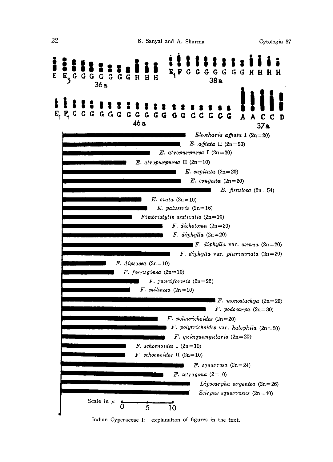

Indian Cyperaceae I: explanation of figures in the text.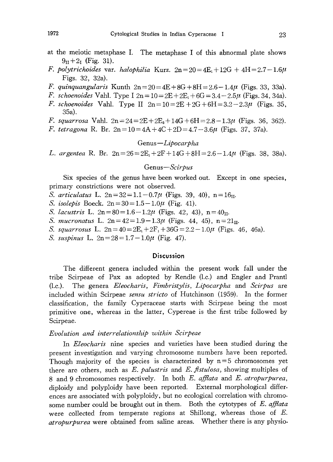- at the meiotic metaphase I. The metaphase I of this abnormal plate shows  $9_{II} + 2_{I}$  (Fig. 31).
- F. polytrichoides var. halophilia Kurz.  $2n=20=4E_1+12G+4H=2.7-1.6\mu$ Figs. 32, 32a).
- *F. quinquangularis* Kunth  $2n = 20 = 4E + 8G + 8H = 2.6 1.4\mu$  (Figs. 33, 33a).
- F. schoenoides Vahl. Type I  $2n = 10 = 2E + 2E_1 + 6G = 3.4 2.5\mu$  (Figs. 34, 34a).
- *F. schoenoides* Vahl. Type II  $2n = 10 = 2E + 2G + 6H = 3.2 2.3\mu$  (Figs. 35, 35a).
- F. squarrosa Vahl.  $2n = 24 = 2E + 2E<sub>3</sub> + 14G + 6H = 2.8 1.3\mu$  (Figs. 36, 362).
- F. tetragona R. Br.  $2n=10=4A+4C+2D=4.7-3.6\mu$  (Figs. 37, 37a).

# Genus-Lipocarpha

L. argentea R. Br.  $2n=26=2E_1+2F+14G+8H=2.6-1.4\mu$  (Figs. 38, 38a).

# Genus-Scirpus

Six species of the genus have been worked out. Except in one species, primary constrictions were not observed.

- S. articulatus L.  $2n=32=1.1-0.7\mu$  (Figs. 39, 40),  $n=16_{\text{II}}$ .
- S. isolepis Boeck.  $2n = 30 = 1.5 1.0\mu$  (Fig. 41).
- S. lacustris L.  $2n=80=1.6-1.2\mu$  (Figs. 42, 43),  $n=40<sub>II</sub>$ .
- S. mucronatus L.  $2n=42=1.9-1.3\mu$  (Figs. 44, 45),  $n=21_{\text{II}}$ .
- S. squarrosus L.  $2n=40=2E_1+2F_1+36G=2.2-1.0\mu$  (Figs. 46, 46a).
- S. suspinus L.  $2n = 28 = 1.7 1.0\mu$  (Fig. 47).

#### Discussion

The different genera included within the present work fall under the tribe Scirpeae of Pax as adopted by Rendle (l. c.) and Engler and Prantl (l.c.). The genera Eleocharis, Fimbristylis, Lipocarpha and Scirpus are included within Scirpeae *sensu stricto* of Hutchinson (1959). In the former classification, the family Cyperaceae starts with Scirpeae being the most primitive one, whereas in the latter, Cypereae is the first tribe followed by Scirpeae.

#### Evolution and interrelationship within Scirpeae

In *Eleocharis* nine species and varieties have been studied during the present investigation and varying chromosome numbers have been reported. Though majority of the species is characterized by  $n=5$  chromosomes yet there are others, such as  $E.$  palustris and  $E.$  fistulosa, showing multiples of 8 and 9 chromosomes respectively. In both E. afflata and E. atropurpurea, diploidy and polyploidy have been reported. External morphological differ ences are associated with polyploidy, but no ecological correlation with chromo some number could be brought out in them. Both the cytotypes of  $E$ . afflata were collected from temperate regions at Shillong, whereas those of E. atropurpurea were obtained from saline areas. Whether there is any physio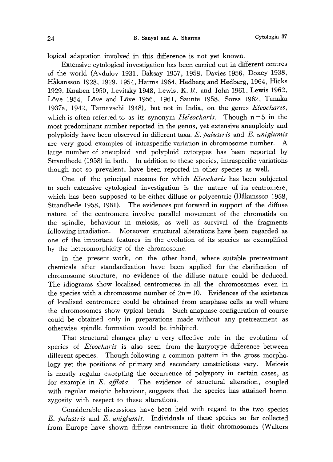logical adaptation involved in this difference is not yet known.

Extensive cytological investigation has been carried out in different centres of the world (Avdulov 1931, Baksay 1957, 1958, Davies 1956, Doxey 1938, Hakansson 1928, 1929, 1954, Harms 1964, Hedberg and Hedberg, 1964, Hicks 1929, Knaben 1950, Levitsky 1948, Lewis, K. R. and John 1961, Lewis 1962, Löve 1954, Löve and Löve 1956, 1961, Saunte 1958, Sorsa 1962, Tanaka 1937a, 1942, Tarnavschi 1948), but not in India, on the genus *Eleocharis*, which is often referred to as its synonym *Heleocharis*. Though  $n=5$  in the most predominant number reported in the genus, yet extensive aneuploidy and polyploidy have been observed in different taxa.  $E$ . palustris and  $E$ . uniglumis are very good examples of intraspecific variation in chromosome number. A large number of aneuploid and polyploid cytotypes has been reported by Strandhede (1958) in both. In addition to these species, intraspecific variations though not so prevalent, have been reported in other species as well.

One of the principal reasons for which *Eleocharis* has been subjected to such extensive cytological investigation is the nature of its centromere, which has been supposed to be either diffuse or polycentric (Håkansson 1958, Strandhede 1958, 1961). The evidences put forward in support of the diffuse nature of the centromere involve parallel movement of the chromatids on the spindle, behaviour in meiosis, as well as survival of the fragments following irradiation. Moreover structural alterations have been regarded as one of the important features in the evolution of its species as exemplified by the heteromorphicity of the chromosome.

In the present work, on the other hand, where suitable pretreatment chemicals after standardization have been applied for the clarification of chromosome structure, no evidence of the diffuse nature could be deduced. The idiograms show localised centromeres in all the chromosomes even in the species with a chromosome number of  $2n=10$ . Evidences of the existence of localised centromere could he obtained from anaphase cells as well where the chromosomes show typical bends. Such anaphase configuration of course could be obtained only in preparations made without any pretreatment as otherwise spindle formation would be inhibited.

That structural changes play a very effective role in the evolution of species of *Eleocharis* is also seen from the karyotype difference between different species. Though following a common pattern in the gross morpho logy yet the positions of primary and secondary constrictions vary. Meiosis is mostly regular excepting the occurrence of polyspory in certain cases, as for example in  $E$ . afflata. The evidence of structural alteration, coupled with regular meiotic behaviour, suggests that the species has attained homozygosity with respect to these alterations.

Considerable discussions have been held with regard to the two species E. palustris and E. uniglumis. Individuals of these species so far collected from Europe have shown diffuse centromere in their chromosomes (Walters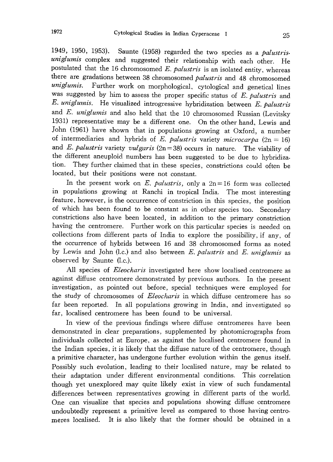1949, 1950, 1953). Saunte (1958) regarded the two species as a *palustris*uniglumis complex and suggested their relationship with each other. He postulated that the 16 chromosomed E. palustris is an isolated entity, whereas there are gradations between 38 chromosomed palustris and 48 chromosomed uniglumis. Further work on morphological, cytological and genetical lines was suggested by him to assess the proper specific status of  $E$ . palustris and E. uniglumis. He visualized introgressive hybridization between E. palustris and  $E$ . uniglumis and also held that the 10 chromosomed Russian (Levitsky 1931) representative may be a different one . On the other hand, Lewis and John (1961) have shown that in populations growing at Oxford, a number of intermediaries and hybrids of E. palustris variety microcarpa ( $2n=16$ ) and E. palustris variety vulgaris ( $2n=38$ ) occurs in nature. The viability of the different aneuploid numbers has been suggested to be due to hybridiza tion. They further claimed that in these species , constrictions could often be located, but their positions were not constant.

In the present work on  $E$ . palustris, only a  $2n=16$  form was collected in populations growing at Ranchi in tropical India. The most interesting feature, however, is the occurrence of constriction in this species, the position of which has been found to be constant as in other species too. Secondary constrictions also have been located, in addition to the primary constriction having the centromere. Further work on this particular species is needed on collections from different parts of India to explore the possibility, if any, of the occurrence of hybrids between 16 and 38 chromosomed forms as noted by Lewis and John (l.c.) and also between  $E$ . *palustris* and  $E$ . *uniglumis* as observed by Saunte (l.c.).

All species of *Eleocharis* investigated here show localised centromere as against diffuse centromere demonstrated by previous authors. In the present investigation, as pointed out before, special techniques were employed for the study of chromosomes of *Eleocharis* in which diffuse centromere has so far been reported. In all populations growing in India, and investigated so far, localised centromere has been found to be universal.

In view of the previous findings where diffuse centromeres have been demonstrated in clear preparations, supplemented by photomicrographs from individuals collected at Europe, as against the localised centromere found in the Indian species, it is likely that the diffuse nature of the centromere, though a primitive character, has undergone further evolution within the genus itself. Possibly such evolution, leading to their localised nature, may be related to their adaptation under different environmental conditions. This correlation though yet unexplored may quite likely exist in view of such fundamental differences between representatives growing in different parts of the world. One can visualize that species and populations showing diffuse centromere undoubtedly represent a primitive level as compared to those having centro meres localised. It is also likely that the former should be obtained in a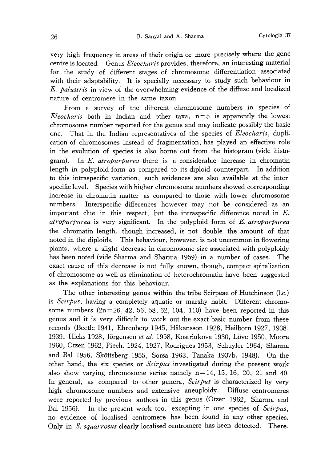very high frequency in areas of their origin or more precisely where the gene centre is located. Genus Eleocharis provides, therefore, an interesting material for the study of different stages of chromosome differentiation associated with their adaptability. It is specially necessary to study such behaviour in E. palustris in view of the overwhelming evidence of the diffuse and localized nature of centromere in the same taxon.

From a survey of the different chromosome numbers in species of *Eleocharis* both in Indian and other taxa,  $n=5$  is apparently the lowest chromosome number reported for the genus and may indicate possibly the basic one. That in the Indian representatives of the species of *Eleocharis*, duplication of chromosomes instead of fragmentation, has played an effective role in the evolution of species is also borne out from the histogram (vide histo gram). In E. atropurpurea there is a considerable increase in chromatin length in polyploid form as compared to its diploid counterpart. In addition to this intraspecific variation, such evidences are also available at the inter specific level. Species with higher chromosome numbers showed corresponding increase in chromatin matter as compared to those with lower chromosome numbers. Interspecific differences however may not be considered as an important clue in this respect, but the intraspecific difference noted in  $E$ . atropurpurea is very significant. In the polyploid form of E. atropurpurea the chromatin length, though increased, is not double the amount of that noted in the diploids. This behaviour, however, is not uncommon in flowering plants, where a slight decrease in chromosome size associated with polyploidy has been noted (vide Sharma and Sharma 1959) in a number of cases. The exact cause of this decrease is not fully known, though, compact spiralization of chromosome as well as elimination of heterochromatin have been suggested as the explanations for this behaviour.

The other interesting genus within the tribe Scirpeae of Hutchinson (l.c.) is Scirpus, having a completely aquatic or marshy habit. Different chromosome numbers  $(2n=26, 42, 56, 58, 62, 104, 110)$  have been reported in this genus and it is very difficult to work out the exact basic number from these records (Beetle 1941, Ehrenberg 1945, Hakansson 1928, Heilborn 1927, 1938, 1939, Hicks 1928, Jörgensen et al. 1958, Kostriukova 1930, Löve 1950, Moore 1960, Otzen 1962, Piech, 1924, 1927, Rodrigues 1953, Schuyler 1964, Sharma and Bal 1956, Skottsberg 1955, Sorsa 1963, Tanaka 1937b, 1948). On the other hand, the six species or  $Scirpus$  investigated during the present work also show varying chromosome series namely  $n=14$ , 15, 16, 20, 21 and 40. In general, as compared to other genera,  $Scirpus$  is characterized by very high chromosome numbers and extensive aneuploidy. Diffuse centromeres were reported by previous authors in this genus (Otzen 1962, Sharma and Bal 1956). In the present work too, excepting in one species of Scirpus, no evidence of localised centromere has been found in any other species. Only in S. squarrosus clearly localised centromere has been detected. There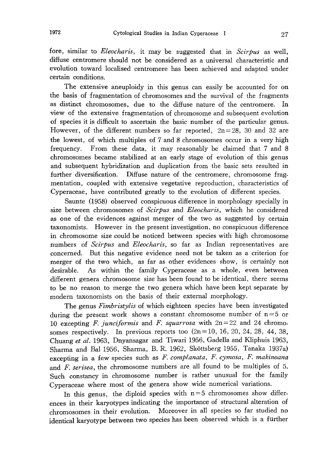fore, similar to *Eleocharis*, it may be suggested that in *Scirpus* as well, diffuse centromere should not be considered as a universal characteristic and evolution toward localised centromere has been achieved and adapted under certain conditions.

The extensive aneuploidy in this genus can easily be accounted for on the basis of fragmentation of chromosomes and the survival of the fragments as distinct chromosomes, due to the diffuse nature of the centromere. In view of the extensive fragmentation of chromosome and subsequent evolution of species it is difficult to ascertain the basic number of the particular genus. However, of the different numbers so far reported,  $2n=28$ , 30 and 32 are the lowest, of which multiples of 7 and 8 chromosomes occur in a very high frequency. From these data, it may reasonably be claimed that 7 and 8 chromosomes became stabilized at an early stage of evolution of this genus and subsequent hybridization and duplication from the basic sets resulted in further diversification. Diffuse nature of the centromere, chromosome frag mentation, coupled with extensive vegetative reproduction, characteristics of Cyperaceae, have contributed greatly to the evolution of different species.

Saunte (1958) observed conspicuous difference in morphology specially in size between chromosomes of Scirpus and Eleocharis, which he considered as one of the evidences against merger of the two as suggested by certain taxonomists. However in the present investigation, no conspicuous difference in chromosome size could be noticed between species with high chromosome numbers of Scirpus and Eleocharis, so far as Indian representatives are concerned. But this negative evidence need not be taken as a criterion for merger of the two which, as far as other evidences show, is certainly not desirable. As within the family Cyperaceae as a whole, even between different genera chromosome size has been found to be identical, there seems to be no reason to merge the two genera which have been kept separate by modern taxonomists on the basis of their external morphology.

The genus Fimbristylis of which eighteen species have been investigated during the present work shows a constant chromosome number of  $n=5$  or 10 excepting F. junciformis and F. squarrosa with  $2n=22$  and 24 chromosomes respectively. In previous reports too  $(2n=10, 16, 20, 24, 28, 44, 38,$ Chuang et al. 1963, Dnyansagar and Tiwari 1956, Gadella and Kliphuis 1963, Sharma and Bal 1956, Sharma, B. R. 1962, Skottsberg 1955, Tanaka 1937a) excepting in a few species such as F. complanata, F. cymosa, F. makinoana and F. serisea, the chromosome numbers are all found to be multiples of 5. Such constancy in chromosome number is rather unusual for the family Cyperaceae where most of the genera show wide numerical variations.

In this genus, the diploid species with  $n=5$  chromosomes show differences in their karyotypes indicating the importance of structural alteration of chromosomes in their evolution. Moreover in all species so far studied no identical karyotype between two species has been observed which is a further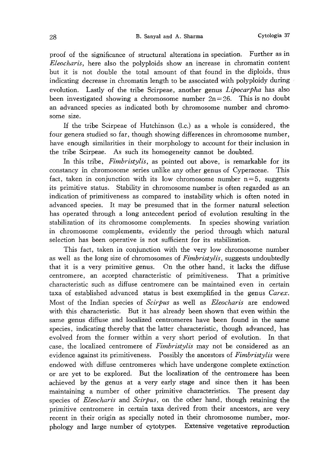proof of the significance of structural alterations in speciation. Further as in Eleocharis, here also the polyploids show an increase in chromatin content but it is not double the total amount of that found in the diploids, thus indicating decrease in chromatin length to be associated with polyploidy during evolution. Lastly of the tribe Scirpeae, another genus Lipocarpha has also been investigated showing a chromosome number  $2n=26$ . This is no doubt an advanced species as indicated both by chromosome number and chromo some size.

If the tribe Scirpeae of Hutchinson  $(l.c.)$  as a whole is considered, the four genera studied so far, though showing differences in chromosome number, have enough similarities in their morphology to account for their inclusion in the tribe Scirpeae. As such its homogeneity cannot be doubted.

In this tribe, *Fimbristylis*, as pointed out above, is remarkable for its constancy in chromosome series unlike any other genus of Cyperaceae. This fact, taken in conjunction with its low chromosome number  $n=5$ , suggests its primitive status. Stability in chromosome number is often regarded as an indication of primitiveness as compared to instability which is often noted in advanced species. It may be presumed that in the former natural selection has operated through a long antecedent period of evolution resulting in the stabilization of its chromosome complements. In species showing variation in chromosome complements, evidently the period through which natural selection has been operative is not sufficient for its stabilization.

This fact, taken in conjunction with the very low chromosome number as well as the long size of chromosomes of *Fimbristylis*, suggests undoubtedly that it is a very primitive genus. On the other hand, it lacks the diffuse centromere, an accepted characteristic of primitiveness. That a primitive characteristic such as diffuse centromere can be maintained even in certain taxa of established advanced status is best exemplified in the genus Carex. Most of the Indian species of Scirpus as well as *Eleocharis* are endowed with this characteristic. But it has already been shown that even within the same genus diffuse and localized centromeres have been found in the same species, indicating thereby that the latter characteristic, though advanced, has evolved from the former within a very short period of evolution. In that case, the localized centromere of *Fimbristylis* may not be considered as an evidence against its primitiveness. Possibly the ancestors of *Fimbristylis* were endowed with diffuse centromeres which have undergone complete extinction or are yet to be explored. But the localization of the centromere has been achieved by the genus at a very early stage and since then it has been maintaining a number of other primitive characteristics. The present day species of *Eleocharis* and *Scirpus*, on the other hand, though retaining the primitive centromere in certain taxa derived from their ancestors, are very recent in their origin as specially noted in their chromosome number, mor phology and large number of cytotypes. Extensive vegetative reproduction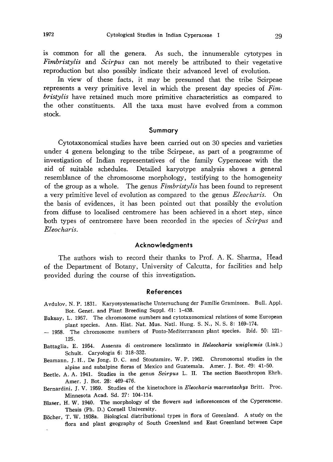is common for all the genera. As such, the innumerable cytotypes in Fimbristylis and Scirpus can not merely be attributed to their vegetative reproduction but also possibly indicate their advanced level of evolution.

In view of these facts, it may be presumed that the tribe Scirpeae represents a very primitive level in which the present day species of Fim bristylis have retained much more primitive characteristics as compared to the other constituents. All the taxa must have evolved from a common stock.

# Summary

Cytotaxonomical studies have been carried out on 30 species and varieties under 4 genera belonging to the tribe Scirpeae, as part of a programme of investigation of Indian representatives of the family Cyperaceae with the aid of suitable schedules. Detailed karyotype analysis shows a general resemblance of the chromosome morphology, testifying to the homogeneity of the group as a whole. The genus *Fimbristylis* has been found to represent a very primitive level of evolution as compared to the genus *Eleocharis*. On the basis of evidences, it has been pointed out that possibly the evolution from diffuse to localised centromere has been achieved in a short step, since both types of centromere have been recorded in the species of *Scirpus* and Eleocharis.

#### Acknowledgments

The authors wish to record their thanks to Prof. A. K. Sharma, Head of the Department of Botany, University of Calcutta, for facilities and help provided during the course of this investigation.

#### References

- Avdulov, N. P. 1831. Karyosystematische Untersuchung der Familie Gramineen. Bull. Appl. Bot. Genet. and Plant Breeding Suppl. 41: 1-438.
- Baksay, L. 1957. The chromosome numbers and cytotaxonomical relations of some European plant species. Ann. Hist. Nat. Mus. Natl. Hung. S. N., N. S. 8: 169-174.
- 1958. The chromosome numbers of Ponto-Mediterranean plant species. Ibid. 50: 121--125.
- Battaglia, E. 1954. Assenza di centromere localizzato in Heleocharis uniglumis (Link.) Schult. Caryologia 6: 318-332.
- Beamann, J. H., De Jong, D. C. and Stoutamire, W. P. 1962. Chromosomal studies in the alpine and subalpine floras of Mexico and Guatemala. Amer. J. Bot. 49: 41-50.
- Beetle, A. A. 1941. Studies in the genus Scirpus L. II. The section Baeothropon Ehrh. Amer. J. Bot. 28: 469-476.
- Bernardini, J. V. 1959. Studies of the kinetochore in Eleocharis macrostachys Britt. Proc. Minnesota Acad. Sd. 27: 104-114.
- Blaser, H. W. 1940. The morphology of the flowers and inflorescences of the Cypereaceae. Thesis (Ph. D.) Cornell University.
- Böcher, T. W. 1938a. Biological distributional types in flora of Greenland. A study on the flora and plant geography of South Greenland and East Greenland between Cape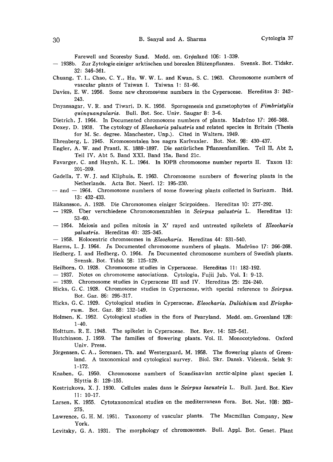Farewell and Scoresby Sund. Medd. om. Grønland 106: 1-339.

- 1938b. Zur Zytologie einiger arktischen und borealen Blutenpflanzen. Svensk. Bot. Tidskr. 32: 346-361.
- Chuang, T. I., Chao, C. Y., Hu, W. W. L. and Kwan, S. C. 1963. Chromosome numbers of vascular plants of Taiwan I. Taiwan 1: 51-66.
- Davies, E. W. 1956. Some new chromosome numbers in the Cyperaceae. Hereditas 3: 242 - 243.
- Dnyansagar, V. R. and Tiwari, D. K. 1956. Sporogenesis and gametophytes of Fimbristylis quinquangularis. Bull. Bot. Soc. Univ. Saugar 8: 3-6.
- Dietrich, J. 1964. In Documented chromosome numbers of plants. Madrõno 17: 266-368.
- Doxey, D. 1938. The cytology of Eleocharis palustris and related species in Britain (Thesis for M. Sc. degree. Manchester, Unp.). Cited in Walters, 1949.
- Ehrenberg, L. 1945. Kromosomtalen hos nagra Karlvaxler. Bot. Not. 98: 430-437.
- Engler, A. W. and Prantl, K. 1889-1897. Die naturlichen Pflanzenfamilien. Teil II, Abt 2, Teil IV, Abt 5, Band XXI, Band 15a, Band 21c.
- Favarger, C. and Huynh, K. L. 1964. In IOPB chromosome number reports II. Taxon 13: 201-209.
- Gadella, T. W. J. and Kliphuis, E. 1963. Chromosome numbers of flowering plants in the Netherlands. Acta Bot. Neerl. 12: 195-230.
- $-$  and  $-$  1964. Chromosome numbers of some flowering plants collected in Surinam. Ibid. 13: 432-433.
- Hakansson, A. 1928. Die Chromosomen einiger Scirpoideen. Hereditas 10: 277-292.
- $-$  1929. Uber verschiedene Chromosomenzahlen in Scirpus palustris L. Hereditas 13:  $53-60.$
- $-$  1954. Meiosis and pollen mitosis in X' rayed and untreated spikelets of *Eleocharis* palustris. Hereditas 40: 325-345.
- 1958. Holocentric chromosomes in Eleocharis. Hereditas 44: 531-540.
- Harms, L. J. 1964. In Documented chromosome numbers of plants. Madrono 17: 266-268.
- Hedberg, I. and Hedberg, O. 1964. In Documented chromosome numbers of Swedish plants. Svensk. Bot. Tidsk 58: 125-129.
- Heilborn, O. 1928. Chromosome studies in Cyperaceae. Hereditas 11: 182-192.
- 1937. Notes on chromosome associations. Cytologia, Fujii Jub. Vol. I: 9-13.
- 1939. Chromosome studies in Cyperaceae III and IV. Hereditas 25: 224-240.
- Hicks, G. C. 1928. Chromosome studies in Cyperaceae, with special reference to Scirpus. Bot. Gaz. 86: 295-317.
- Hicks, G. C. 1929. Cytological studies in Cyperaceae, Eleocharis, Dulichium and Eriophorum. Bot. Gaz. 88: 132-149.
- Holmen, K. 1952. Cytological studies in the flora of Pearyland. Medd. om. Groenland 128:  $1-40.$
- Holttum, R. E. 1948. The spikelet in Cyperaceae. Bot. Rev. 14: 525-541.
- Hutchinson. J. 1959. The families of flowering plants. Vol. II. Monocotyledons. Oxford Univ. Press.
- Jörgensen, C. A., Sorensen, Th. and Westergaard, M. 1958. The flowering plants of Greenland. A taxonomical and cytological survey. Biol. Skr. Dansk. Vidensk. Selsk 9: 1-172.
- Knaben, G. 1950. Chromosome numbers of Scandinavian arctic-alpine plant species I. Blyttia 8: 129-155.
- Kostriukova, X. J. 1930. Cellules males dans le Scirpus lacustris L. Bull. Jard. Bot. Kiev 11: 10-17.
- Larsen, K. 1955. Cytotaxonomical studies on the mediterranean flora. Bot. Not. 108: 263-- 275.
- Lawrence, G. H. M. 1951. Taxonomy of vascular plants. The Macmillan Company, New York.
- Levitsky, G. A. 1931. The morphology of chromosomes. Bull. Appl. Bot. Genet. Plant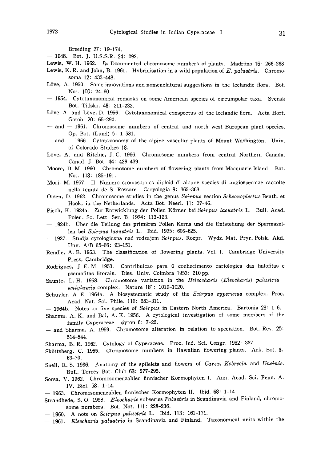Breeding 27: 19-174.-

- 1948. Bot. J. U.S.S.R. 24: 292.

- Lewis, W. H. 1962. In Documented chromosome numbers of plants. Madrõno 16: 266-268.
- Lewis, K. R. and John, B. 1961. Hybridisation in a wild population of E. palustris. Chromosoma 12: 433-448.
- Löve, A. 1950. Some innovations and nomenclatural suggestions in the Icelandic flora. Bot. Not. 100: 24-60.
- $-$  1954. Cytotaxonomical remarks on some American species of circumpolar taxa. Svensk Bot. Tidskr. 48: 211-232.
- Löve, A. and Löve, D. 1956. Cytotaxonomical conspectus of the Icelandic flora. Acta Hort. Gotob. 20: 65-290.
- $-$  and  $-$  1961. Chromosome numbers of central and north west European plant species. Op. Bot. (Lund) 5: 1-581.-
- $-$  and  $-$  1966. Cytotaxonomy of the alpine vascular plants of Mount Washington. Univ. of Colorado Studies 18.
- Löve, A. and Ritchie, J. C. 1966. Chromosome numbers from central Northern Canada. Canad. J. Bot. 44: 429-439.
- Moore, D. M. 1960. Chromosome numbers of flowering plants from Macquarie Island. Bot. Not. 113: 185-191.
- Mori, M. 1957. II. Numero cromosomico diploid di alcune species di angiospermae raccolte nella tenuta de S. Rossore. Caryologia 9: 365-368.
- Otzen, D. 1962. Chromosome studies in the genus Scirpus section Scheonoplectus Benth. et Hook, in the Netherlands. Acta Bot. Neerl. 11: 37-46.
- Piech, K. 1924a. Zur Entwicklung der Pollen Körner bei Scirpus lacustris L. Bull. Acad. Polen. Sc. Lett. Ser. B. 1924: 113-123.
- 1924b. Uber die Teilung des primaren Pollen Kerns and die Entstehung der Spermazel len bei Scirpus lacustris L. Ibid. 1925: 605-625.
- 1927. Studja cytologiczna nad rodzajem Scirpus. Rozpr. Wydz. Mat. Pryr. Polsk. Akd. Unv. A/B 65-66: 93-151.
- Rendle, A. B. 1953. The classification of flowering plants, Vol. I. Cambridge University Press, Cambridge.
- Rodrigues, J. E. M. 1953. Contribuicao para 0 conhecimento cariologica das halofitas e psamofitas litorais. Diss. Univ. Coimbra 1953: 210 pp.
- Saunte, L. H. 1958. Chromosome variation in the Heleocharis (Eleocharis) palustris $uniglumis$  complex. Nature 181: 1019-1020.
- Schuyler, A. E. 1964a. A biosystematic study of the Scirpus cyperinus complex. Proc. Acad. Nat. Sci. Phile. 116: 283-311.
- $-$  1964b. Notes on five species of Scirpus in Eastern North America. Bartonia 23: 1-6.
- Sharma, A. K. and Bal, A. K. 1956. A cytological investigation of some members of the family Cyperaceae.  $\phi$ yton 6: 7-22.
- and Sharma, A. 1959. Chromosome alteration in relation to speciation. Bot. Rev. 25: 514-544.
- Sharma, B. R. 1962. Cytology of Cyperaceae. Proc. Ind. Sci. Congr. 1962: 337.
- Sköttsberg, C. 1955. Chromosome numbers in Hawaiian flowering plants. Ark. Bot. 3: 63-70.
- Snell, R. S. 1936. Anatomy of the spilelets and flowers of Carex, Kobresia and Uncinis. Bull. Torrey Bot. Club 63: 277-295.
- Sorsa, V. 1962. Chromosomenzahlen finnischer Kormophyten I. Ann. Acad. Sci. Fenn. A. IV. Biol. 58: 1-14.
- 1963. Chromosomenzahlen finnischer Kormophyten II. Ibid. 68: 1-14.
- Strandhede, S. O. 1958. Eleocharis subseries Palustris in Scandinavia and Finland, chromosome numbers. Bot. Not. 111: 228-236.
- $-$  1960. A note on Scirpus palustris L. Ibid. 113: 161-171.
- 1961. Eleocharis palustris in Scandinavia and Finland. Taxonomical units within the